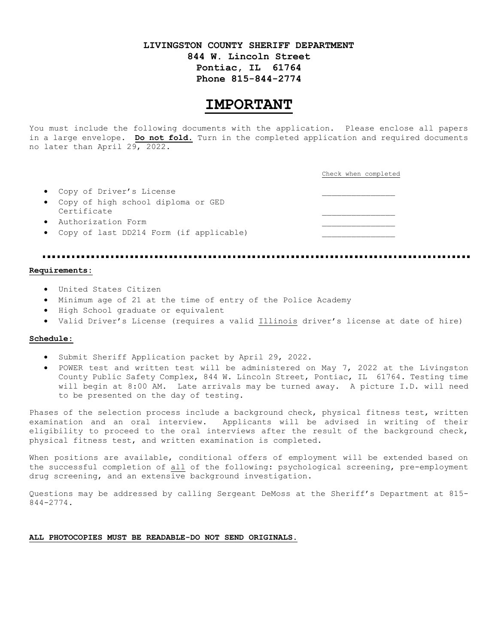# **LIVINGSTON COUNTY SHERIFF DEPARTMENT 844 W. Lincoln Street Pontiac, IL 61764 Phone 815-844-2774**

# **IMPORTANT**

You must include the following documents with the application. Please enclose all papers in a large envelope. **Do not fold.** Turn in the completed application and required documents no later than April 29, 2022.

|                                                     | Check when completed |
|-----------------------------------------------------|----------------------|
| • Copy of Driver's License                          |                      |
| • Copy of high school diploma or GED<br>Certificate |                      |
| • Authorization Form                                |                      |
| • Copy of last DD214 Form (if applicable)           |                      |

#### **Requirements:**

- United States Citizen
- Minimum age of 21 at the time of entry of the Police Academy
- High School graduate or equivalent
- Valid Driver's License (requires a valid Illinois driver's license at date of hire)

#### **Schedule:**

- Submit Sheriff Application packet by April 29, 2022.
- POWER test and written test will be administered on May 7, 2022 at the Livingston County Public Safety Complex, 844 W. Lincoln Street, Pontiac, IL 61764. Testing time will begin at 8:00 AM. Late arrivals may be turned away. A picture I.D. will need to be presented on the day of testing.

Phases of the selection process include a background check, physical fitness test, written examination and an oral interview. Applicants will be advised in writing of their eligibility to proceed to the oral interviews after the result of the background check, physical fitness test, and written examination is completed.

When positions are available, conditional offers of employment will be extended based on the successful completion of all of the following: psychological screening, pre-employment drug screening, and an extensive background investigation.

Questions may be addressed by calling Sergeant DeMoss at the Sheriff's Department at 815- 844-2774.

#### **ALL PHOTOCOPIES MUST BE READABLE-DO NOT SEND ORIGINALS.**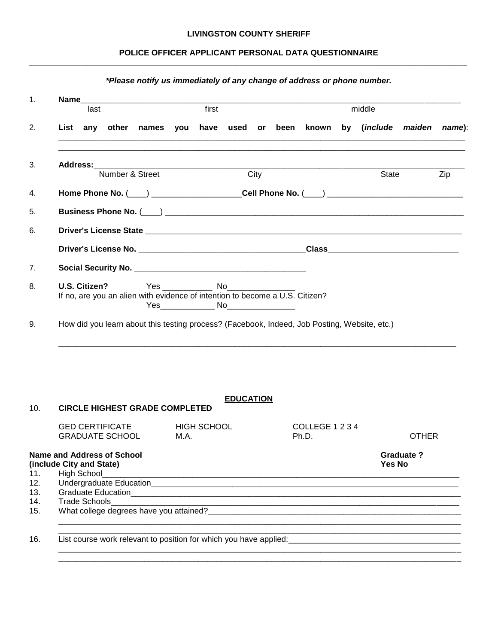### **LIVINGSTON COUNTY SHERIFF**

### **POLICE OFFICER APPLICANT PERSONAL DATA QUESTIONNAIRE** *\_\_\_\_\_\_\_\_\_\_\_\_\_\_\_\_\_\_\_\_\_\_\_\_\_\_\_\_\_\_\_\_\_\_\_\_\_\_\_\_\_\_\_\_\_\_\_\_\_\_\_\_\_\_\_\_\_\_\_\_\_\_\_\_\_\_\_\_\_\_\_\_\_\_\_\_\_\_\_\_\_\_\_\_\_\_\_\_\_\_\_\_\_\_\_\_\_*

|                                                                                                                                                                                               | last            |                                                                                                                       | first |                                           |                  | middle |  |                          |  |                                                                            |                  |     |
|-----------------------------------------------------------------------------------------------------------------------------------------------------------------------------------------------|-----------------|-----------------------------------------------------------------------------------------------------------------------|-------|-------------------------------------------|------------------|--------|--|--------------------------|--|----------------------------------------------------------------------------|------------------|-----|
|                                                                                                                                                                                               |                 |                                                                                                                       |       |                                           |                  |        |  |                          |  | List any other names you have used or been known by (include maiden name): |                  |     |
|                                                                                                                                                                                               | Number & Street |                                                                                                                       |       |                                           |                  | City   |  |                          |  | State                                                                      |                  | Zip |
|                                                                                                                                                                                               |                 |                                                                                                                       |       |                                           |                  |        |  |                          |  |                                                                            |                  |     |
|                                                                                                                                                                                               |                 |                                                                                                                       |       |                                           |                  |        |  |                          |  |                                                                            |                  |     |
|                                                                                                                                                                                               |                 |                                                                                                                       |       |                                           |                  |        |  |                          |  |                                                                            |                  |     |
|                                                                                                                                                                                               |                 |                                                                                                                       |       |                                           |                  |        |  |                          |  |                                                                            |                  |     |
|                                                                                                                                                                                               |                 |                                                                                                                       |       |                                           |                  |        |  |                          |  |                                                                            |                  |     |
|                                                                                                                                                                                               |                 |                                                                                                                       |       |                                           |                  |        |  |                          |  |                                                                            |                  |     |
| U.S. Citizen?<br>If no, are you an alien with evidence of intention to become a U.S. Citizen?<br>How did you learn about this testing process? (Facebook, Indeed, Job Posting, Website, etc.) |                 |                                                                                                                       |       | Yes_________________ No__________________ |                  |        |  |                          |  |                                                                            |                  |     |
|                                                                                                                                                                                               |                 |                                                                                                                       |       |                                           |                  |        |  |                          |  |                                                                            |                  |     |
| <b>CIRCLE HIGHEST GRADE COMPLETED</b>                                                                                                                                                         |                 |                                                                                                                       |       |                                           | <b>EDUCATION</b> |        |  |                          |  |                                                                            |                  |     |
| <b>GED CERTIFICATE</b><br><b>GRADUATE SCHOOL</b>                                                                                                                                              |                 |                                                                                                                       | M.A.  | <b>HIGH SCHOOL</b>                        |                  |        |  | COLLEGE 1 2 3 4<br>Ph.D. |  |                                                                            | <b>OTHER</b>     |     |
| <b>Name and Address of School</b><br>(include City and State)                                                                                                                                 |                 |                                                                                                                       |       |                                           |                  |        |  |                          |  | <b>Yes No</b>                                                              | <b>Graduate?</b> |     |
| <b>High School</b>                                                                                                                                                                            |                 | <u> 1989 - Johann Johann Stoff, deutscher Stoff als der Stoff aus der Stoff als der Stoff aus der Stoff als der S</u> |       |                                           |                  |        |  |                          |  |                                                                            |                  |     |
|                                                                                                                                                                                               |                 |                                                                                                                       |       |                                           |                  |        |  |                          |  |                                                                            |                  |     |
|                                                                                                                                                                                               |                 |                                                                                                                       |       |                                           |                  |        |  |                          |  |                                                                            |                  |     |
|                                                                                                                                                                                               |                 |                                                                                                                       |       |                                           |                  |        |  |                          |  |                                                                            |                  |     |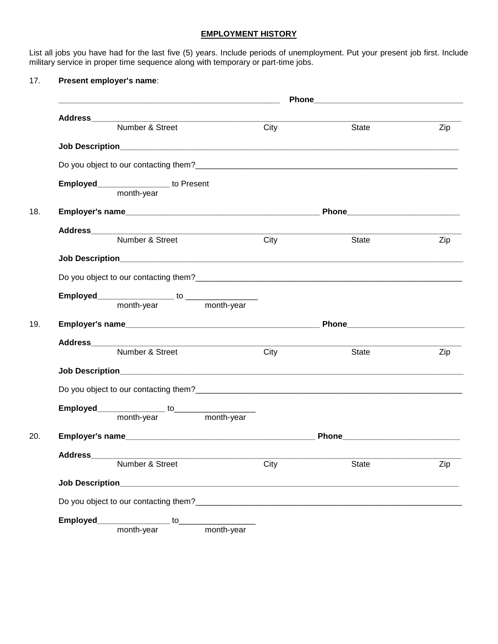# **EMPLOYMENT HISTORY**

List all jobs you have had for the last five (5) years. Include periods of unemployment. Put your present job first. Include military service in proper time sequence along with temporary or part-time jobs.

### 17. **Present employer's name**:

|                        |                                      |      | Phone experience and the phone of the state of the state of the state of the state of the state of the state of the state of the state of the state of the state of the state of the state of the state of the state of the st |     |
|------------------------|--------------------------------------|------|--------------------------------------------------------------------------------------------------------------------------------------------------------------------------------------------------------------------------------|-----|
|                        | Number & Street                      | City | State                                                                                                                                                                                                                          | Zip |
|                        |                                      |      |                                                                                                                                                                                                                                |     |
|                        |                                      |      |                                                                                                                                                                                                                                |     |
|                        |                                      |      |                                                                                                                                                                                                                                |     |
|                        | Employed__________________to Present |      |                                                                                                                                                                                                                                |     |
|                        | month-year                           |      |                                                                                                                                                                                                                                |     |
|                        |                                      |      |                                                                                                                                                                                                                                |     |
|                        | Address<br>Number & Street           |      |                                                                                                                                                                                                                                |     |
|                        |                                      | City | State                                                                                                                                                                                                                          | Zip |
|                        |                                      |      |                                                                                                                                                                                                                                |     |
|                        |                                      |      |                                                                                                                                                                                                                                |     |
|                        |                                      |      |                                                                                                                                                                                                                                |     |
|                        |                                      |      |                                                                                                                                                                                                                                |     |
|                        |                                      |      |                                                                                                                                                                                                                                |     |
|                        |                                      |      |                                                                                                                                                                                                                                |     |
|                        | Number & Street                      | City | State                                                                                                                                                                                                                          | Zip |
|                        |                                      |      |                                                                                                                                                                                                                                |     |
|                        |                                      |      |                                                                                                                                                                                                                                |     |
|                        |                                      |      |                                                                                                                                                                                                                                |     |
|                        |                                      |      |                                                                                                                                                                                                                                |     |
|                        |                                      |      |                                                                                                                                                                                                                                |     |
|                        |                                      |      |                                                                                                                                                                                                                                |     |
|                        | Number & Street City                 |      | <b>State</b>                                                                                                                                                                                                                   | Zip |
| <b>Job Description</b> |                                      |      |                                                                                                                                                                                                                                |     |
|                        |                                      |      |                                                                                                                                                                                                                                |     |
| Employed___            | month-vear to month-year             |      |                                                                                                                                                                                                                                |     |
|                        |                                      |      |                                                                                                                                                                                                                                |     |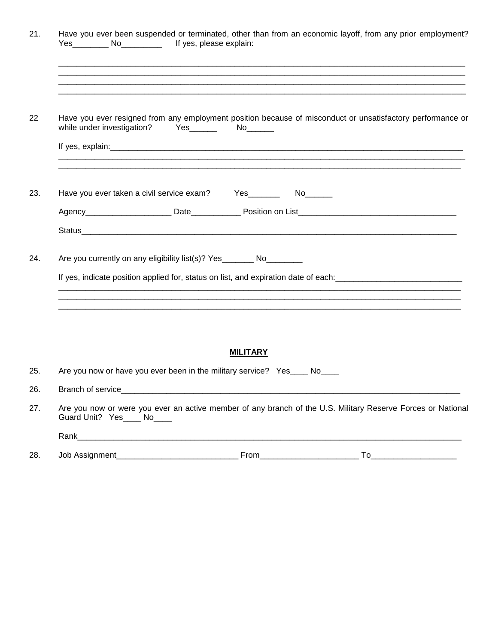| If yes, please explain:                                                                                                                                          |
|------------------------------------------------------------------------------------------------------------------------------------------------------------------|
|                                                                                                                                                                  |
| Have you ever resigned from any employment position because of misconduct or unsatisfactory performance or<br>while under investigation?<br>Yes_______  No______ |
|                                                                                                                                                                  |
| Have you ever taken a civil service exam? Yes __________ No_______                                                                                               |
|                                                                                                                                                                  |
|                                                                                                                                                                  |
|                                                                                                                                                                  |
| Are you currently on any eligibility list(s)? Yes ________ No_________                                                                                           |
|                                                                                                                                                                  |
| If yes, indicate position applied for, status on list, and expiration date of each: __________________________                                                   |
| <b>MILITARY</b>                                                                                                                                                  |
| Are you now or have you ever been in the military service? Yes____ No____                                                                                        |
| Branch of service___                                                                                                                                             |
| Are you now or were you ever an active member of any branch of the U.S. Military Reserve Forces or National<br>Guard Unit? Yes____ No____                        |
| Rank 2008 - 2008 - 2010 - 2010 - 2010 - 2010 - 2010 - 2010 - 2010 - 2010 - 2010 - 2010 - 2010 - 2010 - 2010 -                                                    |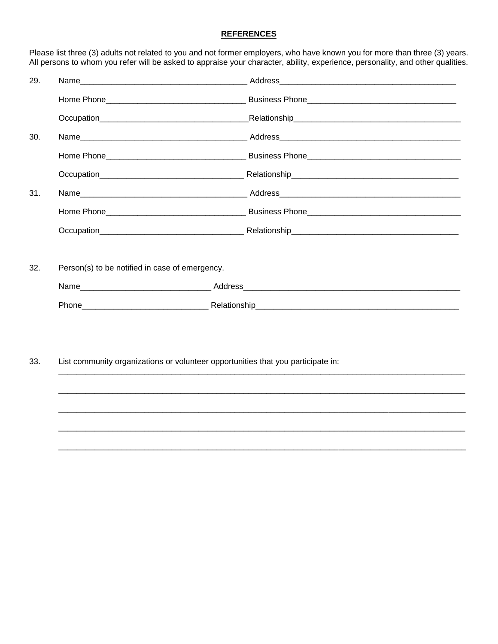# **REFERENCES**

Please list three (3) adults not related to you and not former employers, who have known you for more than three (3) years.<br>All persons to whom you refer will be asked to appraise your character, ability, experience, perso

| 29. |                                                                                  |  |  |  |  |  |  |
|-----|----------------------------------------------------------------------------------|--|--|--|--|--|--|
|     |                                                                                  |  |  |  |  |  |  |
|     |                                                                                  |  |  |  |  |  |  |
| 30. |                                                                                  |  |  |  |  |  |  |
|     |                                                                                  |  |  |  |  |  |  |
|     |                                                                                  |  |  |  |  |  |  |
| 31. |                                                                                  |  |  |  |  |  |  |
|     |                                                                                  |  |  |  |  |  |  |
|     |                                                                                  |  |  |  |  |  |  |
|     |                                                                                  |  |  |  |  |  |  |
| 32. | Person(s) to be notified in case of emergency.                                   |  |  |  |  |  |  |
|     |                                                                                  |  |  |  |  |  |  |
|     |                                                                                  |  |  |  |  |  |  |
|     |                                                                                  |  |  |  |  |  |  |
| 33. | List community organizations or volunteer opportunities that you participate in: |  |  |  |  |  |  |
|     |                                                                                  |  |  |  |  |  |  |
|     |                                                                                  |  |  |  |  |  |  |
|     |                                                                                  |  |  |  |  |  |  |
|     |                                                                                  |  |  |  |  |  |  |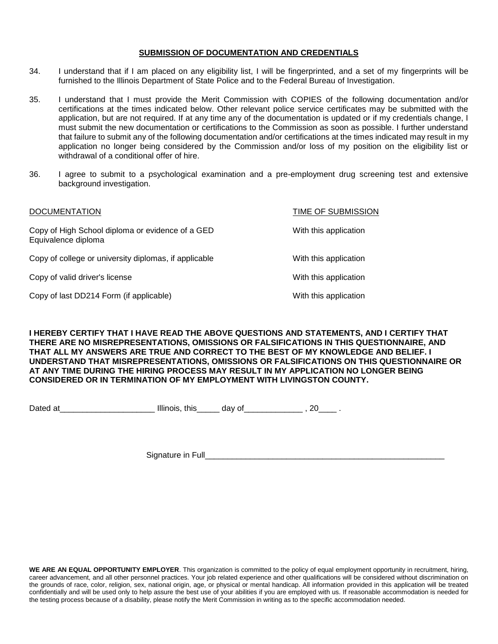### **SUBMISSION OF DOCUMENTATION AND CREDENTIALS**

- 34. I understand that if I am placed on any eligibility list, I will be fingerprinted, and a set of my fingerprints will be furnished to the Illinois Department of State Police and to the Federal Bureau of Investigation.
- 35. I understand that I must provide the Merit Commission with COPIES of the following documentation and/or certifications at the times indicated below. Other relevant police service certificates may be submitted with the application, but are not required. If at any time any of the documentation is updated or if my credentials change, I must submit the new documentation or certifications to the Commission as soon as possible. I further understand that failure to submit any of the following documentation and/or certifications at the times indicated may result in my application no longer being considered by the Commission and/or loss of my position on the eligibility list or withdrawal of a conditional offer of hire.
- 36. I agree to submit to a psychological examination and a pre-employment drug screening test and extensive background investigation.

| <b>DOCUMENTATION</b>                                                    | TIME OF SUBMISSION    |
|-------------------------------------------------------------------------|-----------------------|
| Copy of High School diploma or evidence of a GED<br>Equivalence diploma | With this application |
| Copy of college or university diplomas, if applicable                   | With this application |
| Copy of valid driver's license                                          | With this application |
| Copy of last DD214 Form (if applicable)                                 | With this application |

**I HEREBY CERTIFY THAT I HAVE READ THE ABOVE QUESTIONS AND STATEMENTS, AND I CERTIFY THAT THERE ARE NO MISREPRESENTATIONS, OMISSIONS OR FALSIFICATIONS IN THIS QUESTIONNAIRE, AND THAT ALL MY ANSWERS ARE TRUE AND CORRECT TO THE BEST OF MY KNOWLEDGE AND BELIEF. I UNDERSTAND THAT MISREPRESENTATIONS, OMISSIONS OR FALSIFICATIONS ON THIS QUESTIONNAIRE OR AT ANY TIME DURING THE HIRING PROCESS MAY RESULT IN MY APPLICATION NO LONGER BEING CONSIDERED OR IN TERMINATION OF MY EMPLOYMENT WITH LIVINGSTON COUNTY.**

Dated at The Illinois, this day of the set of the set of the set of the set of the set of the set of the set o

Signature in Full

**WE ARE AN EQUAL OPPORTUNITY EMPLOYER**. This organization is committed to the policy of equal employment opportunity in recruitment, hiring, career advancement, and all other personnel practices. Your job related experience and other qualifications will be considered without discrimination on the grounds of race, color, religion, sex, national origin, age, or physical or mental handicap. All information provided in this application will be treated confidentially and will be used only to help assure the best use of your abilities if you are employed with us. If reasonable accommodation is needed for the testing process because of a disability, please notify the Merit Commission in writing as to the specific accommodation needed.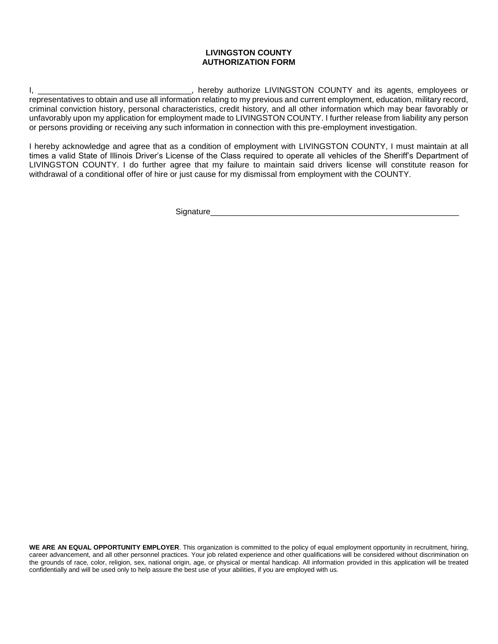### **LIVINGSTON COUNTY AUTHORIZATION FORM**

I, \_\_\_\_\_\_\_\_\_\_\_\_\_\_\_\_\_\_\_\_\_\_\_\_\_\_\_\_\_\_\_\_\_\_\_, hereby authorize LIVINGSTON COUNTY and its agents, employees or representatives to obtain and use all information relating to my previous and current employment, education, military record, criminal conviction history, personal characteristics, credit history, and all other information which may bear favorably or unfavorably upon my application for employment made to LIVINGSTON COUNTY. I further release from liability any person or persons providing or receiving any such information in connection with this pre-employment investigation.

I hereby acknowledge and agree that as a condition of employment with LIVINGSTON COUNTY, I must maintain at all times a valid State of Illinois Driver's License of the Class required to operate all vehicles of the Sheriff's Department of LIVINGSTON COUNTY. I do further agree that my failure to maintain said drivers license will constitute reason for withdrawal of a conditional offer of hire or just cause for my dismissal from employment with the COUNTY.

Signature

**WE ARE AN EQUAL OPPORTUNITY EMPLOYER**. This organization is committed to the policy of equal employment opportunity in recruitment, hiring, career advancement, and all other personnel practices. Your job related experience and other qualifications will be considered without discrimination on the grounds of race, color, religion, sex, national origin, age, or physical or mental handicap. All information provided in this application will be treated confidentially and will be used only to help assure the best use of your abilities, if you are employed with us.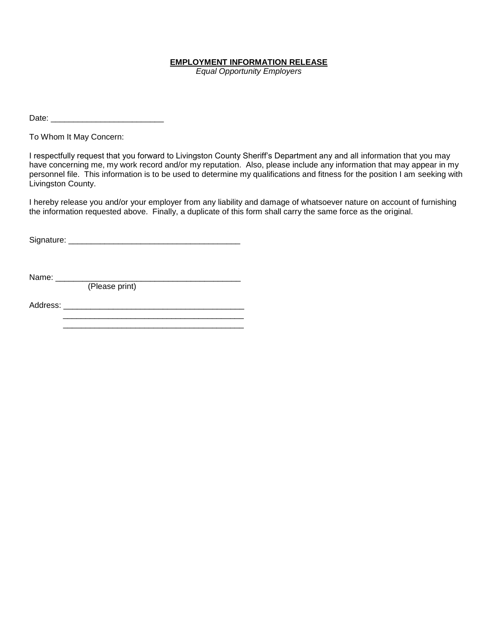### **EMPLOYMENT INFORMATION RELEASE**

*Equal Opportunity Employers*

Date:

To Whom It May Concern:

I respectfully request that you forward to Livingston County Sheriff's Department any and all information that you may have concerning me, my work record and/or my reputation. Also, please include any information that may appear in my personnel file. This information is to be used to determine my qualifications and fitness for the position I am seeking with Livingston County.

I hereby release you and/or your employer from any liability and damage of whatsoever nature on account of furnishing the information requested above. Finally, a duplicate of this form shall carry the same force as the original.

Signature: \_\_\_\_\_\_\_\_\_\_\_\_\_\_\_\_\_\_\_\_\_\_\_\_\_\_\_\_\_\_\_\_\_\_\_\_\_\_

Name: \_\_\_\_\_\_\_\_\_\_\_\_\_\_\_\_\_\_\_\_\_\_\_\_\_\_\_\_\_\_\_\_\_\_\_\_\_\_\_\_\_

(Please print)

Address: \_\_\_\_\_\_\_\_\_\_\_\_\_\_\_\_\_\_\_\_\_\_\_\_\_\_\_\_\_\_\_\_\_\_\_\_\_\_\_\_